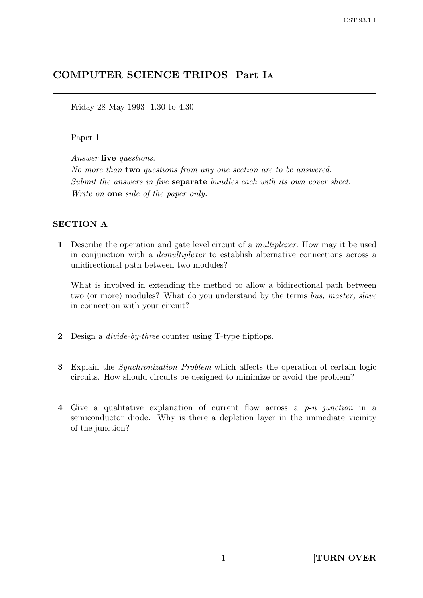# COMPUTER SCIENCE TRIPOS Part I<sup>A</sup>

Friday 28 May 1993 1.30 to 4.30

### Paper 1

Answer five questions.

No more than two questions from any one section are to be answered. Submit the answers in five **separate** bundles each with its own cover sheet. Write on one side of the paper only.

### SECTION A

1 Describe the operation and gate level circuit of a multiplexer. How may it be used in conjunction with a demultiplexer to establish alternative connections across a unidirectional path between two modules?

What is involved in extending the method to allow a bidirectional path between two (or more) modules? What do you understand by the terms bus, master, slave in connection with your circuit?

- 2 Design a *divide-by-three* counter using T-type flipflops.
- 3 Explain the Synchronization Problem which affects the operation of certain logic circuits. How should circuits be designed to minimize or avoid the problem?
- 4 Give a qualitative explanation of current flow across a p-n junction in a semiconductor diode. Why is there a depletion layer in the immediate vicinity of the junction?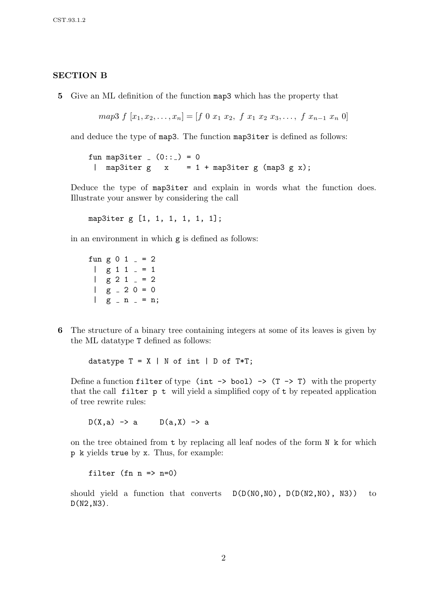#### SECTION B

5 Give an ML definition of the function map3 which has the property that

$$
map3 f[x_1, x_2, \ldots, x_n] = [f 0 x_1 x_2, f x_1 x_2 x_3, \ldots, f x_{n-1} x_n 0]
$$

and deduce the type of map3. The function map3iter is defined as follows:

fun map3iter  $(0:: ) = 0$ | map3iter  $g \times z = 1 + \text{map3}$ iter  $g \text{ (map3 g x)}$ ;

Deduce the type of map3iter and explain in words what the function does. Illustrate your answer by considering the call

map3iter g [1, 1, 1, 1, 1, 1];

in an environment in which  $g$  is defined as follows:

fun g 0 1  $=$  = 2  $\log 11 = 1$  $\log 2 1 = 2$  $\log 20 = 0$  $|$  g - n - = n;

6 The structure of a binary tree containing integers at some of its leaves is given by the ML datatype T defined as follows:

datatype  $T = X | N$  of int  $| D$  of  $T*T;$ 

Define a function filter of type (int  $\rightarrow$  bool)  $\rightarrow$  (T  $\rightarrow$  T) with the property that the call filter p t will yield a simplified copy of t by repeated application of tree rewrite rules:

 $D(X, a) \rightarrow a$   $D(a, X) \rightarrow a$ 

on the tree obtained from  $t$  by replacing all leaf nodes of the form  $N \times$  for which p k yields true by x. Thus, for example:

filter (fn  $n \Rightarrow n=0$ )

should yield a function that converts  $D(D(NO, NO), D(D( N2, NO), N3))$  to D(N2,N3).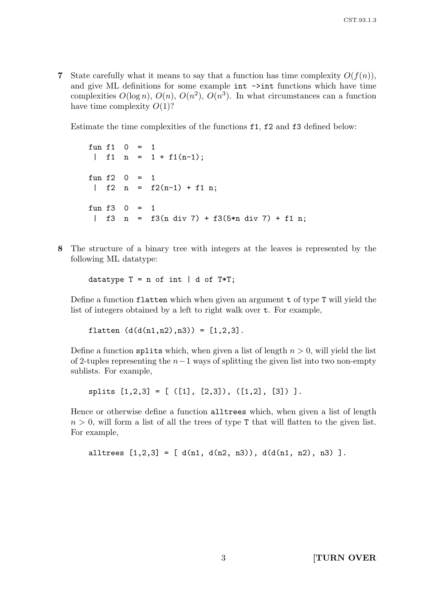7 State carefully what it means to say that a function has time complexity  $O(f(n))$ , and give ML definitions for some example int  $\rightarrow$ int functions which have time complexities  $O(\log n)$ ,  $O(n)$ ,  $O(n^2)$ ,  $O(n^3)$ . In what circumstances can a function have time complexity  $O(1)$ ?

Estimate the time complexities of the functions f1, f2 and f3 defined below:

fun  $f1$  0 = 1 | f1 n =  $1 + f1(n-1)$ ; fun  $f2 \ 0 = 1$ | f2 n =  $f2(n-1) + f1$  n; fun  $f3 \quad 0 = 1$ | f3 n = f3(n div 7) + f3(5\*n div 7) + f1 n;

8 The structure of a binary tree with integers at the leaves is represented by the following ML datatype:

datatype  $T = n$  of int | d of  $T*T;$ 

Define a function flatten which when given an argument t of type T will yield the list of integers obtained by a left to right walk over t. For example,

flatten  $(d(d(n1, n2), n3)) = [1, 2, 3].$ 

Define a function splits which, when given a list of length  $n > 0$ , will yield the list of 2-tuples representing the  $n-1$  ways of splitting the given list into two non-empty sublists. For example,

splits  $[1,2,3] = [([1], [2,3]), ([1,2], [3])].$ 

Hence or otherwise define a function alltrees which, when given a list of length  $n > 0$ , will form a list of all the trees of type T that will flatten to the given list. For example,

```
alltrees [1,2,3] = [d(n1, d(n2, n3)), d(d(n1, n2), n3)].
```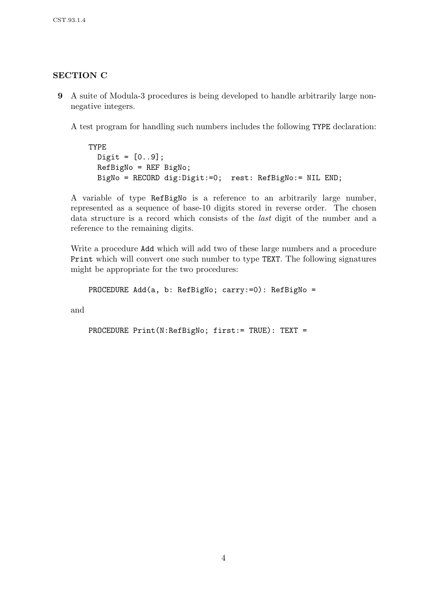## SECTION C

9 A suite of Modula-3 procedures is being developed to handle arbitrarily large nonnegative integers.

A test program for handling such numbers includes the following TYPE declaration:

TYPE  $Digit = [0..9];$ RefBigNo = REF BigNo; BigNo = RECORD dig:Digit:=0; rest: RefBigNo:= NIL END;

A variable of type RefBigNo is a reference to an arbitrarily large number, represented as a sequence of base-10 digits stored in reverse order. The chosen data structure is a record which consists of the last digit of the number and a reference to the remaining digits.

Write a procedure Add which will add two of these large numbers and a procedure Print which will convert one such number to type TEXT. The following signatures might be appropriate for the two procedures:

```
PROCEDURE Add(a, b: RefBigNo; carry:=0): RefBigNo =
```
and

PROCEDURE Print(N:RefBigNo; first:= TRUE): TEXT =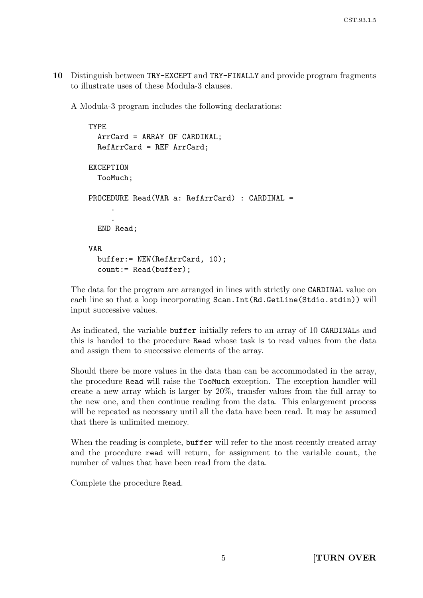10 Distinguish between TRY-EXCEPT and TRY-FINALLY and provide program fragments to illustrate uses of these Modula-3 clauses.

A Modula-3 program includes the following declarations:

```
TYPE
  ArrCard = ARRAY OF CARDINAL;
  RefArrCard = REF ArrCard;
EXCEPTION
  TooMuch;
PROCEDURE Read(VAR a: RefArrCard) : CARDINAL =
     .
     .
  END Read;
VAR
  buffer:= NEW(RefArrCard, 10);
  count:= Read(buffer);
```
The data for the program are arranged in lines with strictly one CARDINAL value on each line so that a loop incorporating Scan.Int(Rd.GetLine(Stdio.stdin)) will input successive values.

As indicated, the variable buffer initially refers to an array of 10 CARDINALs and this is handed to the procedure Read whose task is to read values from the data and assign them to successive elements of the array.

Should there be more values in the data than can be accommodated in the array, the procedure Read will raise the TooMuch exception. The exception handler will create a new array which is larger by 20%, transfer values from the full array to the new one, and then continue reading from the data. This enlargement process will be repeated as necessary until all the data have been read. It may be assumed that there is unlimited memory.

When the reading is complete, buffer will refer to the most recently created array and the procedure read will return, for assignment to the variable count, the number of values that have been read from the data.

Complete the procedure Read.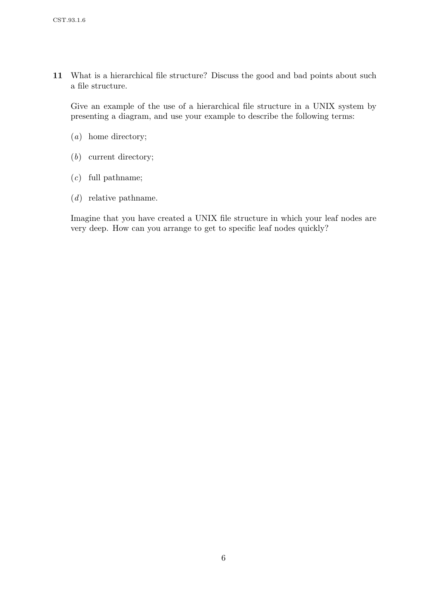11 What is a hierarchical file structure? Discuss the good and bad points about such a file structure.

Give an example of the use of a hierarchical file structure in a UNIX system by presenting a diagram, and use your example to describe the following terms:

- (a) home directory;
- (b) current directory;
- (c) full pathname;
- (d) relative pathname.

Imagine that you have created a UNIX file structure in which your leaf nodes are very deep. How can you arrange to get to specific leaf nodes quickly?